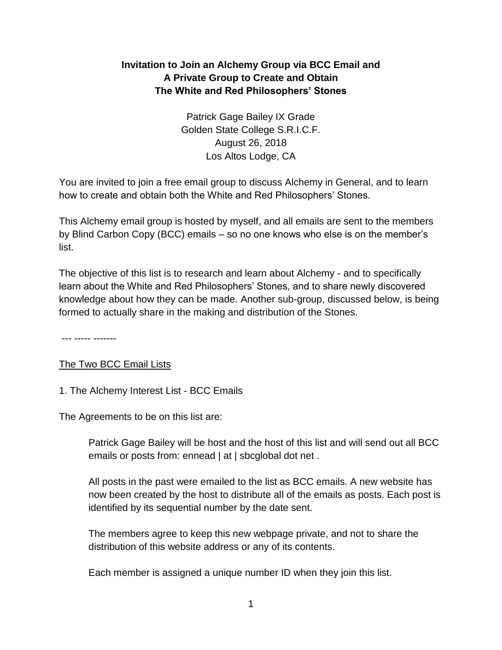# **Invitation to Join an Alchemy Group via BCC Email and A Private Group to Create and Obtain The White and Red Philosophers' Stones**

Patrick Gage Bailey IX Grade Golden State College S.R.I.C.F. August 26, 2018 Los Altos Lodge, CA

You are invited to join a free email group to discuss Alchemy in General, and to learn how to create and obtain both the White and Red Philosophers' Stones.

This Alchemy email group is hosted by myself, and all emails are sent to the members by Blind Carbon Copy (BCC) emails – so no one knows who else is on the member's list.

The objective of this list is to research and learn about Alchemy - and to specifically learn about the White and Red Philosophers' Stones, and to share newly discovered knowledge about how they can be made. Another sub-group, discussed below, is being formed to actually share in the making and distribution of the Stones.

--- ----- -------

### The Two BCC Email Lists

1. The Alchemy Interest List - BCC Emails

The Agreements to be on this list are:

Patrick Gage Bailey will be host and the host of this list and will send out all BCC emails or posts from: ennead | at | sbcglobal dot net.

All posts in the past were emailed to the list as BCC emails. A new website has now been created by the host to distribute all of the emails as posts. Each post is identified by its sequential number by the date sent.

The members agree to keep this new webpage private, and not to share the distribution of this website address or any of its contents.

Each member is assigned a unique number ID when they join this list.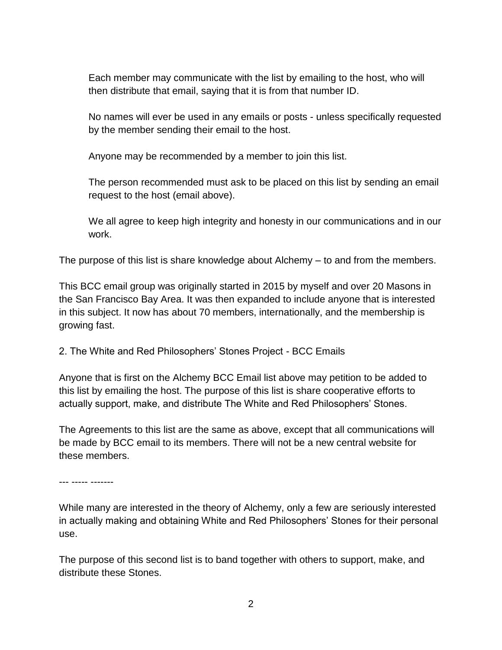Each member may communicate with the list by emailing to the host, who will then distribute that email, saying that it is from that number ID.

No names will ever be used in any emails or posts - unless specifically requested by the member sending their email to the host.

Anyone may be recommended by a member to join this list.

The person recommended must ask to be placed on this list by sending an email request to the host (email above).

We all agree to keep high integrity and honesty in our communications and in our work.

The purpose of this list is share knowledge about Alchemy – to and from the members.

This BCC email group was originally started in 2015 by myself and over 20 Masons in the San Francisco Bay Area. It was then expanded to include anyone that is interested in this subject. It now has about 70 members, internationally, and the membership is growing fast.

2. The White and Red Philosophers' Stones Project - BCC Emails

Anyone that is first on the Alchemy BCC Email list above may petition to be added to this list by emailing the host. The purpose of this list is share cooperative efforts to actually support, make, and distribute The White and Red Philosophers' Stones.

The Agreements to this list are the same as above, except that all communications will be made by BCC email to its members. There will not be a new central website for these members.

--- ----- -------

While many are interested in the theory of Alchemy, only a few are seriously interested in actually making and obtaining White and Red Philosophers' Stones for their personal use.

The purpose of this second list is to band together with others to support, make, and distribute these Stones.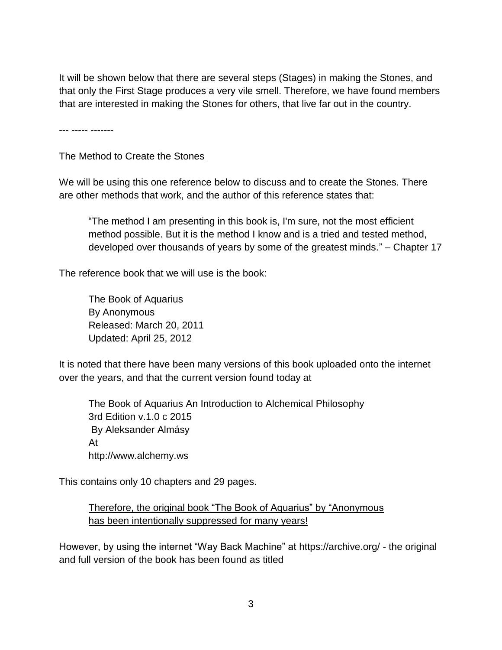It will be shown below that there are several steps (Stages) in making the Stones, and that only the First Stage produces a very vile smell. Therefore, we have found members that are interested in making the Stones for others, that live far out in the country.

--- ----- -------

#### The Method to Create the Stones

We will be using this one reference below to discuss and to create the Stones. There are other methods that work, and the author of this reference states that:

"The method I am presenting in this book is, I'm sure, not the most efficient method possible. But it is the method I know and is a tried and tested method, developed over thousands of years by some of the greatest minds." – Chapter 17

The reference book that we will use is the book:

The Book of Aquarius By Anonymous Released: March 20, 2011 Updated: April 25, 2012

It is noted that there have been many versions of this book uploaded onto the internet over the years, and that the current version found today at

The Book of Aquarius An Introduction to Alchemical Philosophy 3rd Edition v.1.0 c 2015 By Aleksander Almásy At http://www.alchemy.ws

This contains only 10 chapters and 29 pages.

Therefore, the original book "The Book of Aquarius" by "Anonymous has been intentionally suppressed for many years!

However, by using the internet "Way Back Machine" at https://archive.org/ - the original and full version of the book has been found as titled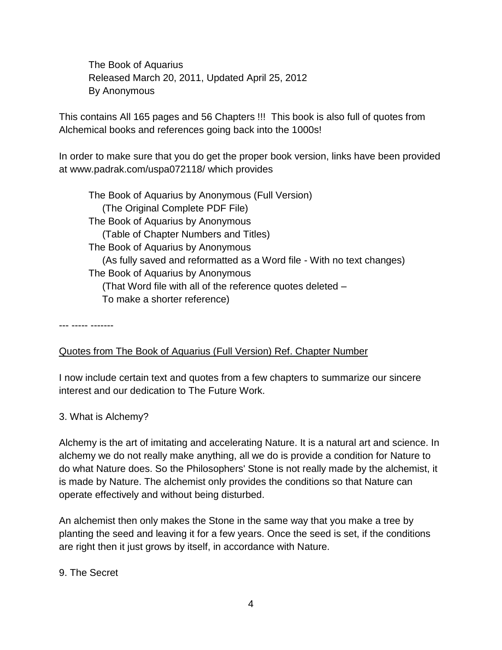The Book of Aquarius Released March 20, 2011, Updated April 25, 2012 By Anonymous

This contains All 165 pages and 56 Chapters !!! This book is also full of quotes from Alchemical books and references going back into the 1000s!

In order to make sure that you do get the proper book version, links have been provided at www.padrak.com/uspa072118/ which provides

The Book of Aquarius by Anonymous (Full Version) (The Original Complete PDF File) The Book of Aquarius by Anonymous (Table of Chapter Numbers and Titles) The Book of Aquarius by Anonymous (As fully saved and reformatted as a Word file - With no text changes) The Book of Aquarius by Anonymous (That Word file with all of the reference quotes deleted – To make a shorter reference)

--- ----- -------

### Quotes from The Book of Aquarius (Full Version) Ref. Chapter Number

I now include certain text and quotes from a few chapters to summarize our sincere interest and our dedication to The Future Work.

3. What is Alchemy?

Alchemy is the art of imitating and accelerating Nature. It is a natural art and science. In alchemy we do not really make anything, all we do is provide a condition for Nature to do what Nature does. So the Philosophers' Stone is not really made by the alchemist, it is made by Nature. The alchemist only provides the conditions so that Nature can operate effectively and without being disturbed.

An alchemist then only makes the Stone in the same way that you make a tree by planting the seed and leaving it for a few years. Once the seed is set, if the conditions are right then it just grows by itself, in accordance with Nature.

9. The Secret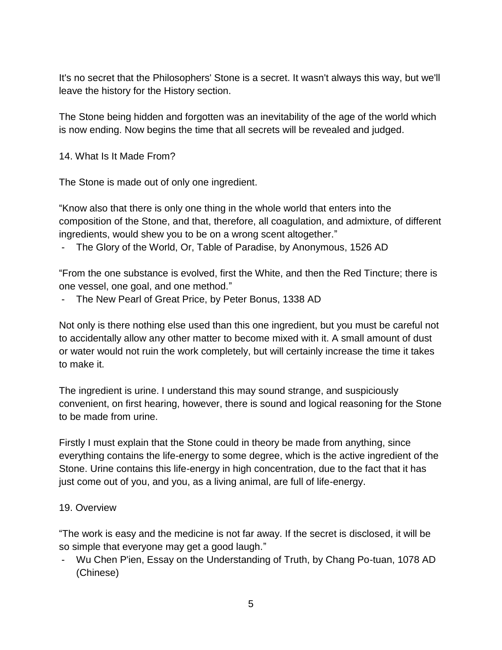It's no secret that the Philosophers' Stone is a secret. It wasn't always this way, but we'll leave the history for the History section.

The Stone being hidden and forgotten was an inevitability of the age of the world which is now ending. Now begins the time that all secrets will be revealed and judged.

14. What Is It Made From?

The Stone is made out of only one ingredient.

"Know also that there is only one thing in the whole world that enters into the composition of the Stone, and that, therefore, all coagulation, and admixture, of different ingredients, would shew you to be on a wrong scent altogether."

- The Glory of the World, Or, Table of Paradise, by Anonymous, 1526 AD

"From the one substance is evolved, first the White, and then the Red Tincture; there is one vessel, one goal, and one method."

- The New Pearl of Great Price, by Peter Bonus, 1338 AD

Not only is there nothing else used than this one ingredient, but you must be careful not to accidentally allow any other matter to become mixed with it. A small amount of dust or water would not ruin the work completely, but will certainly increase the time it takes to make it.

The ingredient is urine. I understand this may sound strange, and suspiciously convenient, on first hearing, however, there is sound and logical reasoning for the Stone to be made from urine.

Firstly I must explain that the Stone could in theory be made from anything, since everything contains the life-energy to some degree, which is the active ingredient of the Stone. Urine contains this life-energy in high concentration, due to the fact that it has just come out of you, and you, as a living animal, are full of life-energy.

#### 19. Overview

"The work is easy and the medicine is not far away. If the secret is disclosed, it will be so simple that everyone may get a good laugh."

- Wu Chen P'ien, Essay on the Understanding of Truth, by Chang Po-tuan, 1078 AD (Chinese)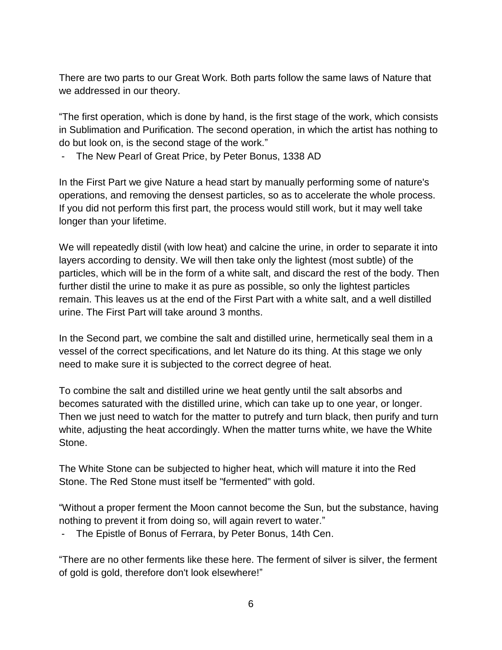There are two parts to our Great Work. Both parts follow the same laws of Nature that we addressed in our theory.

"The first operation, which is done by hand, is the first stage of the work, which consists in Sublimation and Purification. The second operation, in which the artist has nothing to do but look on, is the second stage of the work."

- The New Pearl of Great Price, by Peter Bonus, 1338 AD

In the First Part we give Nature a head start by manually performing some of nature's operations, and removing the densest particles, so as to accelerate the whole process. If you did not perform this first part, the process would still work, but it may well take longer than your lifetime.

We will repeatedly distil (with low heat) and calcine the urine, in order to separate it into layers according to density. We will then take only the lightest (most subtle) of the particles, which will be in the form of a white salt, and discard the rest of the body. Then further distil the urine to make it as pure as possible, so only the lightest particles remain. This leaves us at the end of the First Part with a white salt, and a well distilled urine. The First Part will take around 3 months.

In the Second part, we combine the salt and distilled urine, hermetically seal them in a vessel of the correct specifications, and let Nature do its thing. At this stage we only need to make sure it is subjected to the correct degree of heat.

To combine the salt and distilled urine we heat gently until the salt absorbs and becomes saturated with the distilled urine, which can take up to one year, or longer. Then we just need to watch for the matter to putrefy and turn black, then purify and turn white, adjusting the heat accordingly. When the matter turns white, we have the White Stone.

The White Stone can be subjected to higher heat, which will mature it into the Red Stone. The Red Stone must itself be "fermented" with gold.

"Without a proper ferment the Moon cannot become the Sun, but the substance, having nothing to prevent it from doing so, will again revert to water."

- The Epistle of Bonus of Ferrara, by Peter Bonus, 14th Cen.

"There are no other ferments like these here. The ferment of silver is silver, the ferment of gold is gold, therefore don't look elsewhere!"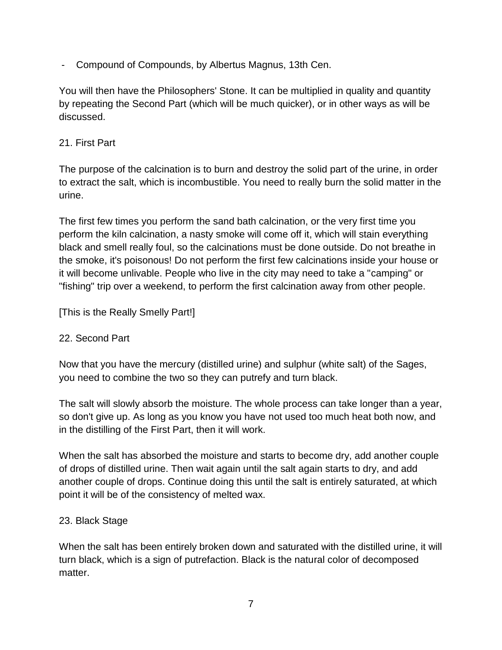- Compound of Compounds, by Albertus Magnus, 13th Cen.

You will then have the Philosophers' Stone. It can be multiplied in quality and quantity by repeating the Second Part (which will be much quicker), or in other ways as will be discussed.

## 21. First Part

The purpose of the calcination is to burn and destroy the solid part of the urine, in order to extract the salt, which is incombustible. You need to really burn the solid matter in the urine.

The first few times you perform the sand bath calcination, or the very first time you perform the kiln calcination, a nasty smoke will come off it, which will stain everything black and smell really foul, so the calcinations must be done outside. Do not breathe in the smoke, it's poisonous! Do not perform the first few calcinations inside your house or it will become unlivable. People who live in the city may need to take a "camping" or "fishing" trip over a weekend, to perform the first calcination away from other people.

[This is the Really Smelly Part!]

### 22. Second Part

Now that you have the mercury (distilled urine) and sulphur (white salt) of the Sages, you need to combine the two so they can putrefy and turn black.

The salt will slowly absorb the moisture. The whole process can take longer than a year, so don't give up. As long as you know you have not used too much heat both now, and in the distilling of the First Part, then it will work.

When the salt has absorbed the moisture and starts to become dry, add another couple of drops of distilled urine. Then wait again until the salt again starts to dry, and add another couple of drops. Continue doing this until the salt is entirely saturated, at which point it will be of the consistency of melted wax.

### 23. Black Stage

When the salt has been entirely broken down and saturated with the distilled urine, it will turn black, which is a sign of putrefaction. Black is the natural color of decomposed matter.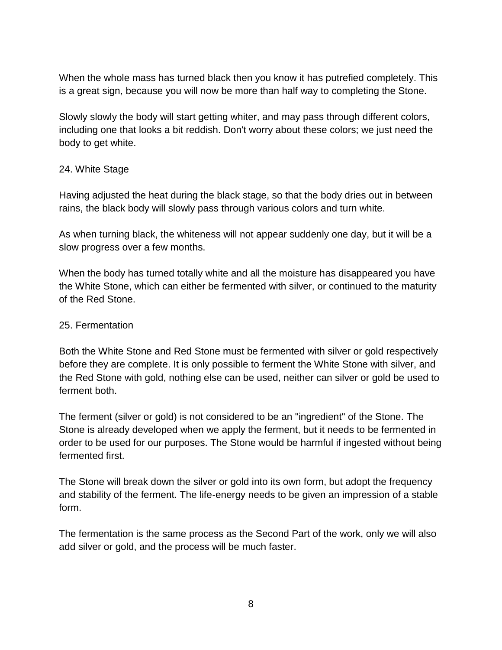When the whole mass has turned black then you know it has putrefied completely. This is a great sign, because you will now be more than half way to completing the Stone.

Slowly slowly the body will start getting whiter, and may pass through different colors, including one that looks a bit reddish. Don't worry about these colors; we just need the body to get white.

### 24. White Stage

Having adjusted the heat during the black stage, so that the body dries out in between rains, the black body will slowly pass through various colors and turn white.

As when turning black, the whiteness will not appear suddenly one day, but it will be a slow progress over a few months.

When the body has turned totally white and all the moisture has disappeared you have the White Stone, which can either be fermented with silver, or continued to the maturity of the Red Stone.

#### 25. Fermentation

Both the White Stone and Red Stone must be fermented with silver or gold respectively before they are complete. It is only possible to ferment the White Stone with silver, and the Red Stone with gold, nothing else can be used, neither can silver or gold be used to ferment both.

The ferment (silver or gold) is not considered to be an "ingredient" of the Stone. The Stone is already developed when we apply the ferment, but it needs to be fermented in order to be used for our purposes. The Stone would be harmful if ingested without being fermented first.

The Stone will break down the silver or gold into its own form, but adopt the frequency and stability of the ferment. The life-energy needs to be given an impression of a stable form.

The fermentation is the same process as the Second Part of the work, only we will also add silver or gold, and the process will be much faster.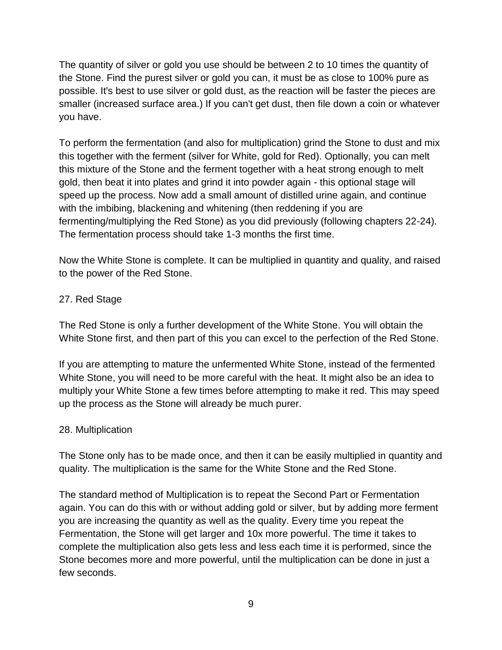The quantity of silver or gold you use should be between 2 to 10 times the quantity of the Stone. Find the purest silver or gold you can, it must be as close to 100% pure as possible. It's best to use silver or gold dust, as the reaction will be faster the pieces are smaller (increased surface area.) If you can't get dust, then file down a coin or whatever you have.

To perform the fermentation (and also for multiplication) grind the Stone to dust and mix this together with the ferment (silver for White, gold for Red). Optionally, you can melt this mixture of the Stone and the ferment together with a heat strong enough to melt gold, then beat it into plates and grind it into powder again - this optional stage will speed up the process. Now add a small amount of distilled urine again, and continue with the imbibing, blackening and whitening (then reddening if you are fermenting/multiplying the Red Stone) as you did previously (following chapters 22-24). The fermentation process should take 1-3 months the first time.

Now the White Stone is complete. It can be multiplied in quantity and quality, and raised to the power of the Red Stone.

# 27. Red Stage

The Red Stone is only a further development of the White Stone. You will obtain the White Stone first, and then part of this you can excel to the perfection of the Red Stone.

If you are attempting to mature the unfermented White Stone, instead of the fermented White Stone, you will need to be more careful with the heat. It might also be an idea to multiply your White Stone a few times before attempting to make it red. This may speed up the process as the Stone will already be much purer.

### 28. Multiplication

The Stone only has to be made once, and then it can be easily multiplied in quantity and quality. The multiplication is the same for the White Stone and the Red Stone.

The standard method of Multiplication is to repeat the Second Part or Fermentation again. You can do this with or without adding gold or silver, but by adding more ferment you are increasing the quantity as well as the quality. Every time you repeat the Fermentation, the Stone will get larger and 10x more powerful. The time it takes to complete the multiplication also gets less and less each time it is performed, since the Stone becomes more and more powerful, until the multiplication can be done in just a few seconds.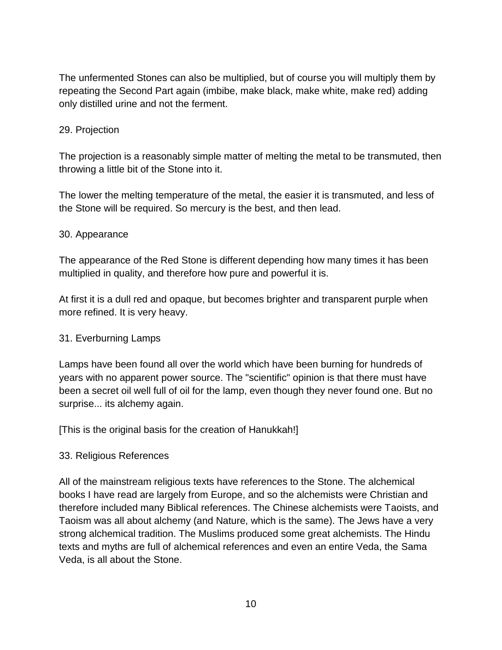The unfermented Stones can also be multiplied, but of course you will multiply them by repeating the Second Part again (imbibe, make black, make white, make red) adding only distilled urine and not the ferment.

## 29. Projection

The projection is a reasonably simple matter of melting the metal to be transmuted, then throwing a little bit of the Stone into it.

The lower the melting temperature of the metal, the easier it is transmuted, and less of the Stone will be required. So mercury is the best, and then lead.

### 30. Appearance

The appearance of the Red Stone is different depending how many times it has been multiplied in quality, and therefore how pure and powerful it is.

At first it is a dull red and opaque, but becomes brighter and transparent purple when more refined. It is very heavy.

### 31. Everburning Lamps

Lamps have been found all over the world which have been burning for hundreds of years with no apparent power source. The "scientific" opinion is that there must have been a secret oil well full of oil for the lamp, even though they never found one. But no surprise... its alchemy again.

[This is the original basis for the creation of Hanukkah!]

### 33. Religious References

All of the mainstream religious texts have references to the Stone. The alchemical books I have read are largely from Europe, and so the alchemists were Christian and therefore included many Biblical references. The Chinese alchemists were Taoists, and Taoism was all about alchemy (and Nature, which is the same). The Jews have a very strong alchemical tradition. The Muslims produced some great alchemists. The Hindu texts and myths are full of alchemical references and even an entire Veda, the Sama Veda, is all about the Stone.